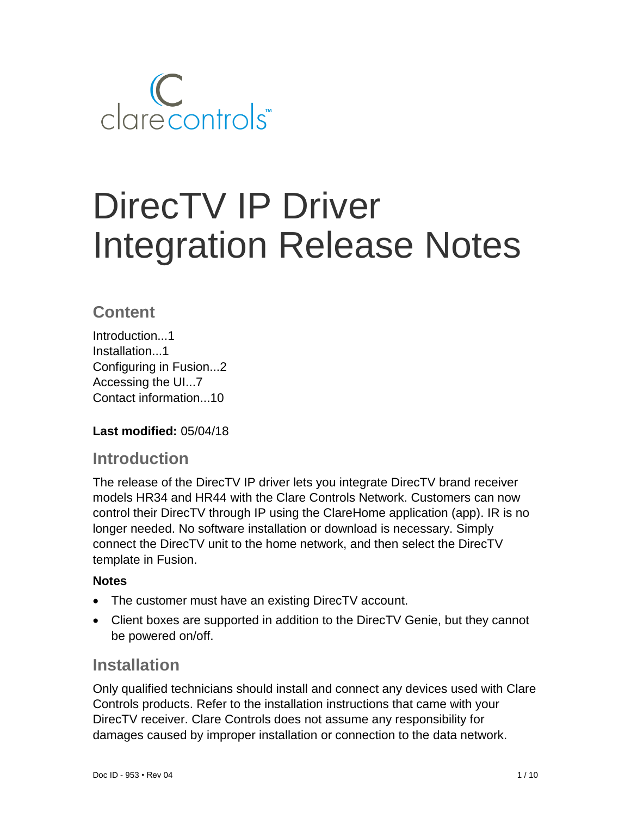

# DirecTV IP Driver Integration Release Notes

## **Content**

Introduction...1 Installation...1 Configuring in Fusion...2 Accessing the UI...7 Contact information...10

## **Last modified:** 05/04/18

## **Introduction**

The release of the DirecTV IP driver lets you integrate DirecTV brand receiver models HR34 and HR44 with the Clare Controls Network. Customers can now control their DirecTV through IP using the ClareHome application (app). IR is no longer needed. No software installation or download is necessary. Simply connect the DirecTV unit to the home network, and then select the DirecTV template in Fusion.

## **Notes**

- The customer must have an existing DirecTV account.
- Client boxes are supported in addition to the DirecTV Genie, but they cannot be powered on/off.

## **Installation**

Only qualified technicians should install and connect any devices used with Clare Controls products. Refer to the installation instructions that came with your DirecTV receiver. Clare Controls does not assume any responsibility for damages caused by improper installation or connection to the data network.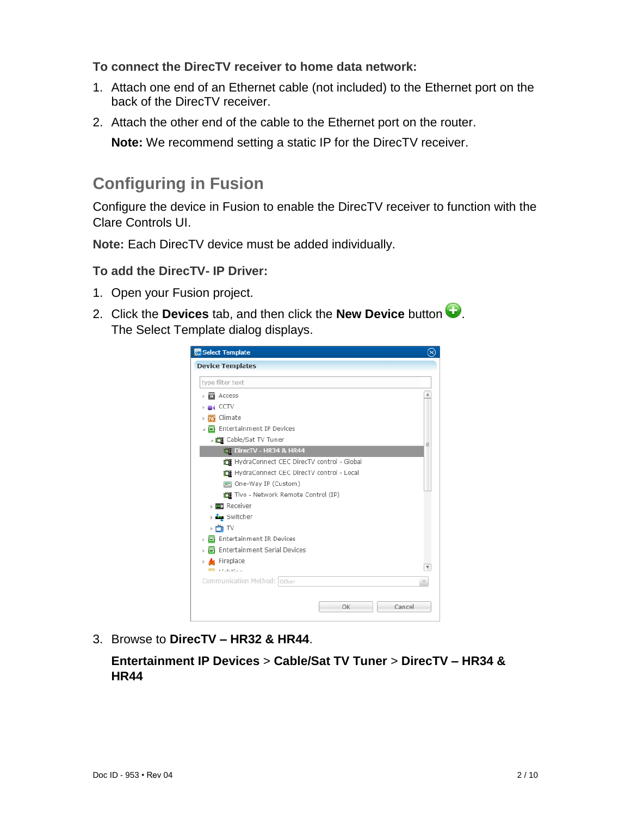**To connect the DirecTV receiver to home data network:**

- 1. Attach one end of an Ethernet cable (not included) to the Ethernet port on the back of the DirecTV receiver.
- 2. Attach the other end of the cable to the Ethernet port on the router.

**Note:** We recommend setting a static IP for the DirecTV receiver.

# **Configuring in Fusion**

Configure the device in Fusion to enable the DirecTV receiver to function with the Clare Controls UI.

**Note:** Each DirecTV device must be added individually.

## **To add the DirecTV- IP Driver:**

- 1. Open your Fusion project.
- 2. Click the **Devices** tab, and then click the **New Device** button  $\bullet$ . The Select Template dialog displays.



3. Browse to **DirecTV – HR32 & HR44**.

**Entertainment IP Devices** > **Cable/Sat TV Tuner** > **DirecTV – HR34 & HR44**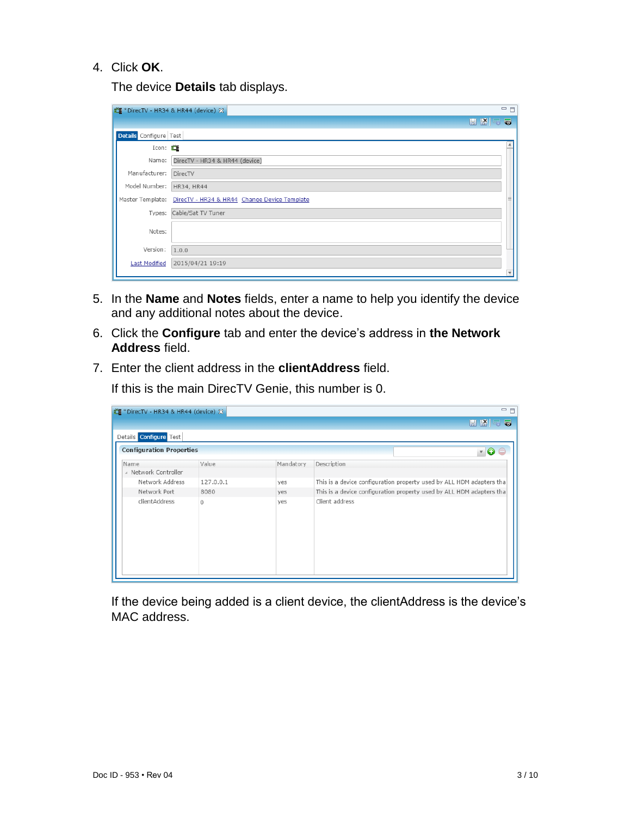#### 4. Click **OK**.

The device **Details** tab displays.

|                        | ** PirecTV - HR34 & HR44 (device) &                           | 一日 |
|------------------------|---------------------------------------------------------------|----|
|                        | <b>HKSQ</b>                                                   |    |
| Details Configure Test |                                                               |    |
| Icon: $\Box$           |                                                               |    |
| Name:                  | DirecTV - HR34 & HR44 (device)                                |    |
| Manufacturer:          | DirecTV                                                       |    |
| Model Number:          | HR34, HR44                                                    |    |
|                        | Master Template: DirecTV - HR34 & HR44 Change Device Template | Ξ  |
| Types:                 | Cable/Sat TV Tuner                                            |    |
| Notes:                 |                                                               |    |
| Version:               | 1.0.0                                                         |    |
| <b>Last Modified</b>   | 2015/04/21 19:19                                              |    |
|                        |                                                               |    |

- 5. In the **Name** and **Notes** fields, enter a name to help you identify the device and any additional notes about the device.
- 6. Click the **Configure** tab and enter the device's address in **the Network Address** field.
- 7. Enter the client address in the **clientAddress** field.

| 一日<br>道: *DirecTV - HR34 & HR44 (device) ※ |           |           |                |                                                                      |  |
|--------------------------------------------|-----------|-----------|----------------|----------------------------------------------------------------------|--|
|                                            |           |           |                | <b>HKF5</b>                                                          |  |
| Details Configure Test                     |           |           |                |                                                                      |  |
| <b>Configuration Properties</b>            |           |           |                | $\mathbf{F}$ 0                                                       |  |
| Name                                       | Value     | Mandatory | Description    |                                                                      |  |
| A Network Controller                       |           |           |                |                                                                      |  |
| Network Address                            | 127.0.0.1 | ves       |                | This is a device configuration property used by ALL HDM adapters tha |  |
| Network Port                               | 8080      | ves       |                | This is a device configuration property used by ALL HDM adapters tha |  |
| clientAddress                              | $\Omega$  | ves       | Client address |                                                                      |  |

If this is the main DirecTV Genie, this number is 0.

If the device being added is a client device, the clientAddress is the device's MAC address.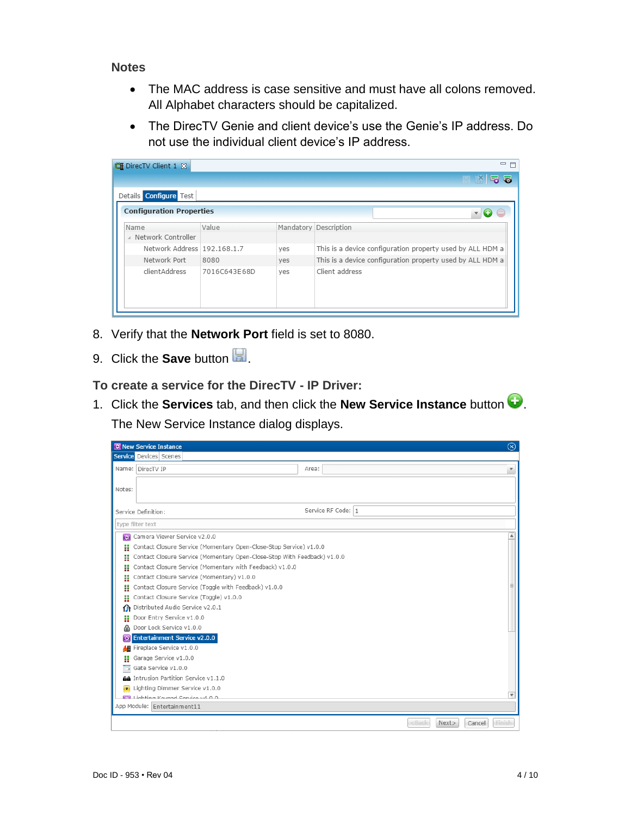#### **Notes**

- The MAC address is case sensitive and must have all colons removed. All Alphabet characters should be capitalized.
- The DirecTV Genie and client device's use the Genie's IP address. Do not use the individual client device's IP address.

| 道 DirecTV Client 1 %            |              |     | 三日                                                        |
|---------------------------------|--------------|-----|-----------------------------------------------------------|
|                                 |              |     | HK56                                                      |
| Details Configure Test          |              |     |                                                           |
| <b>Configuration Properties</b> |              |     | $\bullet$<br>$\overline{\mathbf{v}}$ .                    |
| Name                            | Value        |     | Mandatory Description                                     |
| △ Network Controller            |              |     |                                                           |
| Network Address 192.168.1.7     |              | yes | This is a device configuration property used by ALL HDM a |
| Network Port                    | 8080         | ves | This is a device configuration property used by ALL HDM a |
| clientAddress                   | 7016C643E68D | yes | Client address                                            |

- 8. Verify that the **Network Port** field is set to 8080.
- 9. Click the **Save** button  $\boxed{2}$ .

**To create a service for the DirecTV - IP Driver:** 

1. Click the **Services** tab, and then click the **New Service Instance** button . The New Service Instance dialog displays.

|           | 翌 New Service Instance                                                   | ⊗                                     |
|-----------|--------------------------------------------------------------------------|---------------------------------------|
|           | <b>Service</b> Devices Scenes                                            |                                       |
|           | Name: DirecTV IP<br>Area:                                                | $\boldsymbol{\mathrm{v}}$             |
|           |                                                                          |                                       |
| Notes:    |                                                                          |                                       |
|           |                                                                          |                                       |
|           | Service RF Code: 1<br>Service Definition:                                |                                       |
|           | type filter text                                                         |                                       |
| <b>RE</b> | Camera Viewer Service v2.0.0                                             | $\blacktriangle$                      |
| H         | Contact Closure Service (Momentary Open-Close-Stop Service) v1.0.0       |                                       |
| H         | Contact Closure Service (Momentary Open-Close-Stop With Feedback) v1.0.0 |                                       |
| Ħ         | Contact Closure Service (Momentary with Feedback) v1.0.0                 |                                       |
| H         | Contact Closure Service (Momentary) v1.0.0                               |                                       |
| H         | Contact Closure Service (Toggle with Feedback) v1.0.0                    |                                       |
| H         | Contact Closure Service (Toggle) v1.0.0                                  |                                       |
| ω         | Distributed Audio Service v2.0.1                                         |                                       |
| Ħ         | Door Entry Service v1.0.0                                                |                                       |
| ⋒         | Door Lock Service v1.0.0                                                 |                                       |
| 每         | <b>Entertainment Service v2.0.0</b>                                      |                                       |
| 48        | Fireplace Service v1.0.0                                                 |                                       |
| H         | Garage Service v1.0.0                                                    |                                       |
| ٣ž        | Gate Service v1.0.0                                                      |                                       |
|           | AA Intrusion Partition Service v1.1.0                                    |                                       |
|           | Lighting Dimmer Service v1.0.0                                           |                                       |
|           | <b>M</b> Lighting Koynad Convice v4 0.0                                  | $\overline{\mathbf v}$                |
|           | App Module: Entertainment11                                              |                                       |
|           |                                                                          | $<$ Back<br>Next><br>Finish<br>Cancel |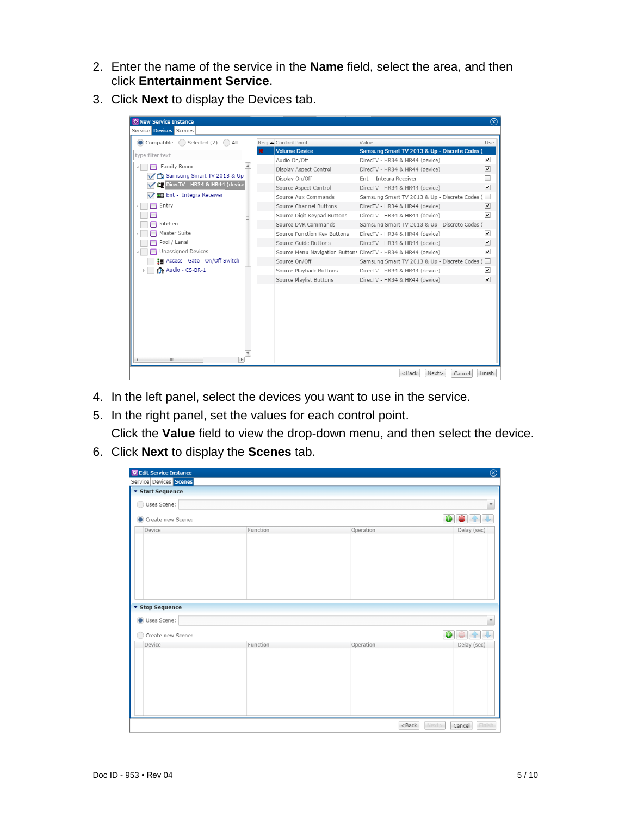- 2. Enter the name of the service in the **Name** field, select the area, and then click **Entertainment Service**.
- 3. Click **Next** to display the Devices tab.



- 4. In the left panel, select the devices you want to use in the service.
- 5. In the right panel, set the values for each control point.

Click the **Value** field to view the drop-down menu, and then select the device.

6. Click **Next** to display the **Scenes** tab.

| <b>ED</b> Edit Service Instance |          |           | $\circledR$                   |
|---------------------------------|----------|-----------|-------------------------------|
| Service Devices Scenes          |          |           |                               |
| ▼ Start Sequence                |          |           |                               |
| Uses Scene:<br>$\bigcap$        |          |           | $\overline{\mathbf v}$        |
| Create new Scene:               |          |           | $\bullet$<br>$\bullet$<br>曾   |
| Device<br>▼ Stop Sequence       | Function | Operation | Delay (sec)                   |
| Uses Scene:                     |          |           | $\overline{\mathbf v}$        |
| Create new Scene:               |          |           | $\bullet$ $\bullet$ $\bullet$ |
| Device                          | Function | Operation | Delay (sec)                   |
|                                 |          | $<$ Back  | Finish<br>Next><br>Cancel     |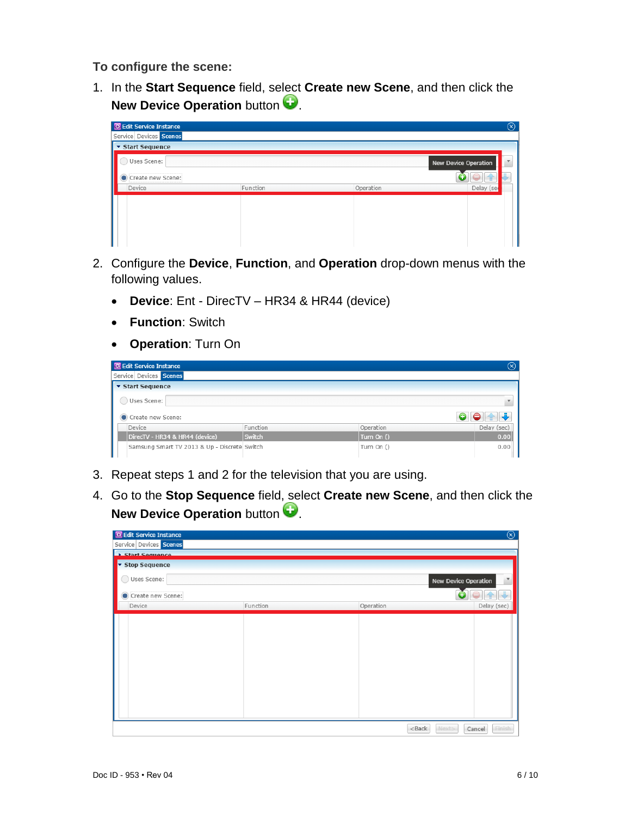**To configure the scene:**

1. In the **Start Sequence** field, select **Create new Scene**, and then click the **New Device Operation** button

| <b>RE</b> Edit Service Instance |          |           | $\circledcirc$              |
|---------------------------------|----------|-----------|-----------------------------|
| Service Devices Scenes          |          |           |                             |
| ▼ Start Sequence                |          |           |                             |
| Uses Scene:                     |          |           | <b>New Device Operation</b> |
| Create new Scene:               |          |           |                             |
| Device                          | Function | Operation | Delay (se                   |
|                                 |          |           |                             |
|                                 |          |           |                             |
|                                 |          |           |                             |
|                                 |          |           |                             |
|                                 |          |           |                             |

- 2. Configure the **Device**, **Function**, and **Operation** drop-down menus with the following values.
	- **Device**: Ent DirecTV HR34 & HR44 (device)
	- **Function**: Switch
	- **Operation**: Turn On

|                        | 图 Edit Service Instance                      |               |  |              |  | $(\mathsf{x})$ |
|------------------------|----------------------------------------------|---------------|--|--------------|--|----------------|
| Service Devices Scenes |                                              |               |  |              |  |                |
|                        | ▼ Start Sequence                             |               |  |              |  |                |
|                        | Uses Scene:                                  |               |  |              |  |                |
|                        | Create new Scene:                            |               |  |              |  |                |
| Device                 |                                              | Function      |  | Operation    |  | Delay (sec)    |
|                        | DirecTV - HR34 & HR44 (device)               | <b>Switch</b> |  | Turn On $()$ |  | 0.00           |
|                        | Samsung Smart TV 2013 & Up - Discrete Switch |               |  | Turn On ()   |  | 0.00           |

- 3. Repeat steps 1 and 2 for the television that you are using.
- 4. Go to the **Stop Sequence** field, select **Create new Scene**, and then click the **New Device Operation** button

| <b>RE</b> Edit Service Instance |          |           | $^{\circledR}$                                      |
|---------------------------------|----------|-----------|-----------------------------------------------------|
| Service Devices Scenes          |          |           |                                                     |
| <b>Start Sequence</b>           |          |           |                                                     |
| Stop Sequence                   |          |           |                                                     |
| Uses Scene:                     |          |           | $\blacktriangledown$<br><b>New Device Operation</b> |
| Create new Scene:               |          |           | 全長                                                  |
| Device                          | Function | Operation | Delay (sec)                                         |
|                                 |          |           |                                                     |
|                                 |          | $<$ Back  | Next><br>Finish<br>Cancel                           |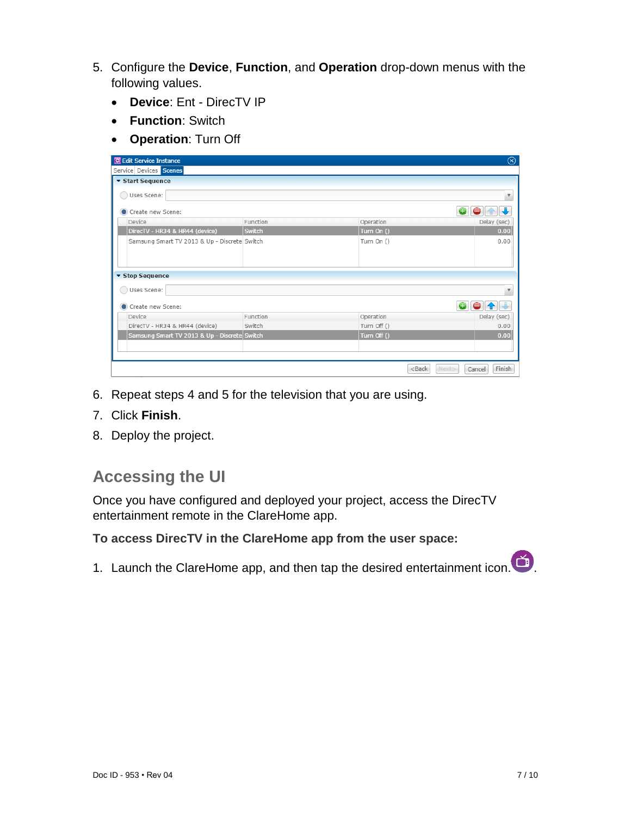- 5. Configure the **Device**, **Function**, and **Operation** drop-down menus with the following values.
	- **Device**: Ent DirecTV IP
	- **Function**: Switch
	- **Operation**: Turn Off

| <b>R</b> Edit Service Instance               |          |                                                              | $\circledR$               |
|----------------------------------------------|----------|--------------------------------------------------------------|---------------------------|
| Service Devices Scenes                       |          |                                                              |                           |
| ▼ Start Sequence                             |          |                                                              |                           |
| Uses Scene:                                  |          |                                                              | $\overline{\mathbf v}$    |
| Create new Scene:                            |          |                                                              | $\bullet$                 |
| Device                                       | Function | Operation                                                    | Delay (sec)               |
| DirecTV - HR34 & HR44 (device)               | Switch   | Turn On ()                                                   | 0.00                      |
| Samsung Smart TV 2013 & Up - Discrete Switch |          | Turn On ()                                                   | 0.00                      |
| ▼ Stop Sequence                              |          |                                                              |                           |
| Uses Scene:                                  |          |                                                              |                           |
| Create new Scene:                            |          |                                                              | $\bullet$                 |
| Device                                       | Function | Operation                                                    | Delay (sec)               |
| DirecTV - HR34 & HR44 (device)               | Switch   | Turn Off ()                                                  | 0.00                      |
| Samsung Smart TV 2013 & Up - Discrete Switch |          | Turn Off ()                                                  | 0.00                      |
|                                              |          |                                                              |                           |
|                                              |          |                                                              |                           |
|                                              |          | <back< td=""><td>Finish<br/>Next&gt;<br/>Cancel</td></back<> | Finish<br>Next><br>Cancel |

- 6. Repeat steps 4 and 5 for the television that you are using.
- 7. Click **Finish**.
- 8. Deploy the project.

# **Accessing the UI**

Once you have configured and deployed your project, access the DirecTV entertainment remote in the ClareHome app.

**To access DirecTV in the ClareHome app from the user space:** 

1. Launch the ClareHome app, and then tap the desired entertainment icon.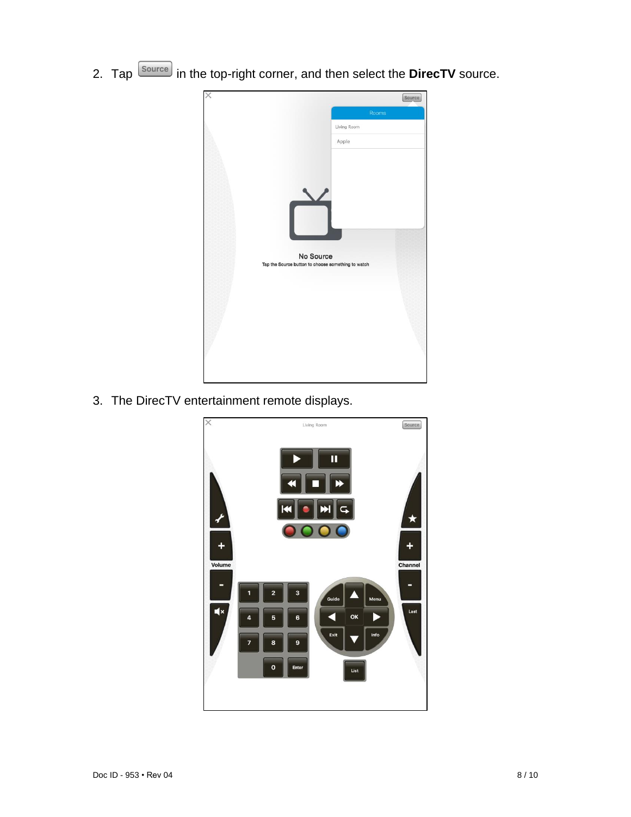2. Tap **Source** in the top-right corner, and then select the **DirecTV** source.



3. The DirecTV entertainment remote displays.

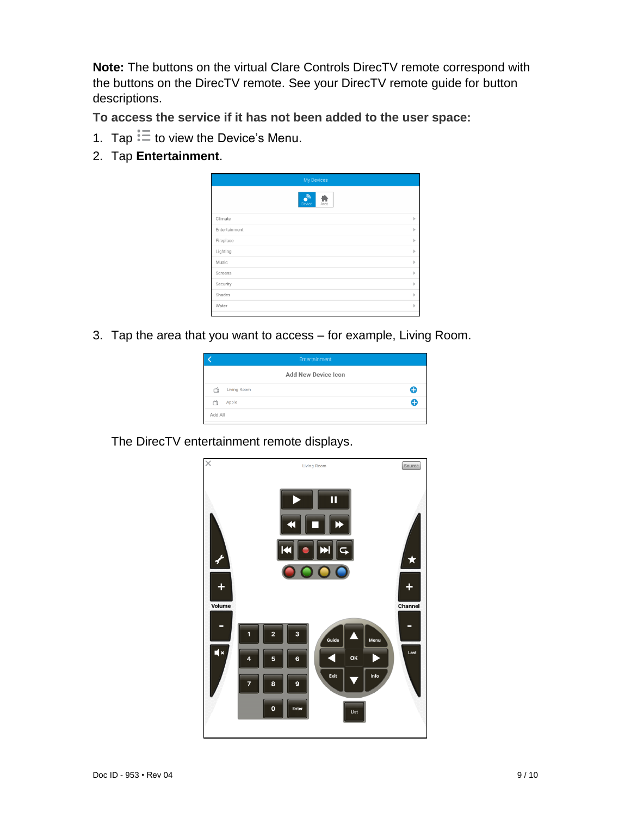**Note:** The buttons on the virtual Clare Controls DirecTV remote correspond with the buttons on the DirecTV remote. See your DirecTV remote guide for button descriptions.

**To access the service if it has not been added to the user space:** 

- 1. Tap  $\overline{\overline{z}}$  to view the Device's Menu.
- 2. Tap **Entertainment**.



3. Tap the area that you want to access – for example, Living Room.

|         | Entertainment       |   |
|---------|---------------------|---|
|         | Add New Device Icon |   |
| ň       | Living Room         | Œ |
|         | Apple               | A |
| Add All |                     |   |

The DirecTV entertainment remote displays.